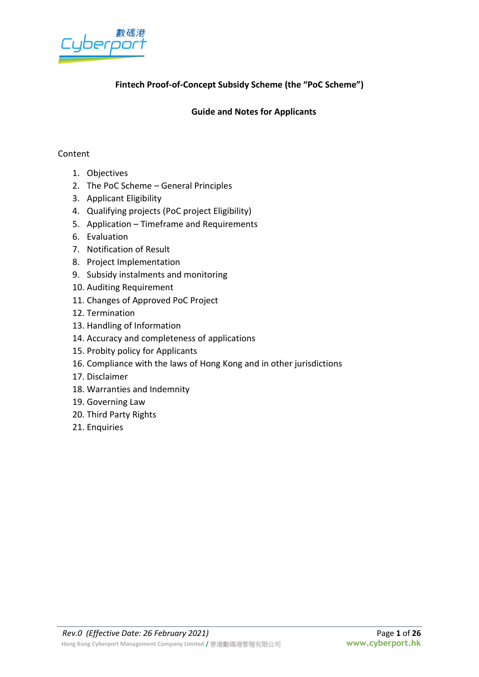

# **Fintech Proof-of-Concept Subsidy Scheme (the "PoC Scheme")**

### **Guide and Notes for Applicants**

#### Content

- 1. Objectives
- 2. The PoC Scheme General Principles
- 3. Applicant Eligibility
- 4. Qualifying projects (PoC project Eligibility)
- 5. Application Timeframe and Requirements
- 6. Evaluation
- 7. Notification of Result
- 8. Project Implementation
- 9. Subsidy instalments and monitoring
- 10. Auditing Requirement
- 11. Changes of Approved PoC Project
- 12. Termination
- 13. Handling of Information
- 14. Accuracy and completeness of applications
- 15. Probity policy for Applicants
- 16. Compliance with the laws of Hong Kong and in other jurisdictions
- 17. Disclaimer
- 18. Warranties and Indemnity
- 19. Governing Law
- 20. Third Party Rights
- 21. Enquiries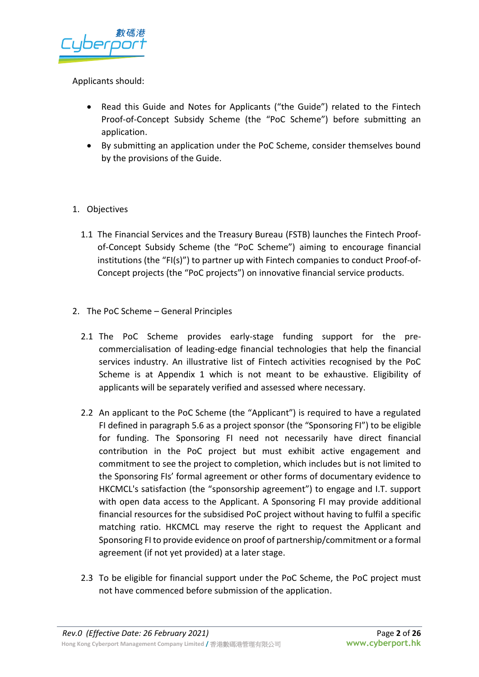

# Applicants should:

- Read this Guide and Notes for Applicants ("the Guide") related to the Fintech Proof-of-Concept Subsidy Scheme (the "PoC Scheme") before submitting an application.
- By submitting an application under the PoC Scheme, consider themselves bound by the provisions of the Guide.
- 1. Objectives
	- 1.1 The Financial Services and the Treasury Bureau (FSTB) launches the Fintech Proofof-Concept Subsidy Scheme (the "PoC Scheme") aiming to encourage financial institutions (the "FI(s)") to partner up with Fintech companies to conduct Proof-of-Concept projects (the "PoC projects") on innovative financial service products.
- 2. The PoC Scheme General Principles
	- 2.1 The PoC Scheme provides early-stage funding support for the precommercialisation of leading-edge financial technologies that help the financial services industry. An illustrative list of Fintech activities recognised by the PoC Scheme is at Appendix 1 which is not meant to be exhaustive. Eligibility of applicants will be separately verified and assessed where necessary.
	- 2.2 An applicant to the PoC Scheme (the "Applicant") is required to have a regulated FI defined in paragraph 5.6 as a project sponsor (the "Sponsoring FI") to be eligible for funding. The Sponsoring FI need not necessarily have direct financial contribution in the PoC project but must exhibit active engagement and commitment to see the project to completion, which includes but is not limited to the Sponsoring FIs' formal agreement or other forms of documentary evidence to HKCMCL's satisfaction (the "sponsorship agreement") to engage and I.T. support with open data access to the Applicant. A Sponsoring FI may provide additional financial resources for the subsidised PoC project without having to fulfil a specific matching ratio. HKCMCL may reserve the right to request the Applicant and Sponsoring FI to provide evidence on proof of partnership/commitment or a formal agreement (if not yet provided) at a later stage.
	- 2.3 To be eligible for financial support under the PoC Scheme, the PoC project must not have commenced before submission of the application.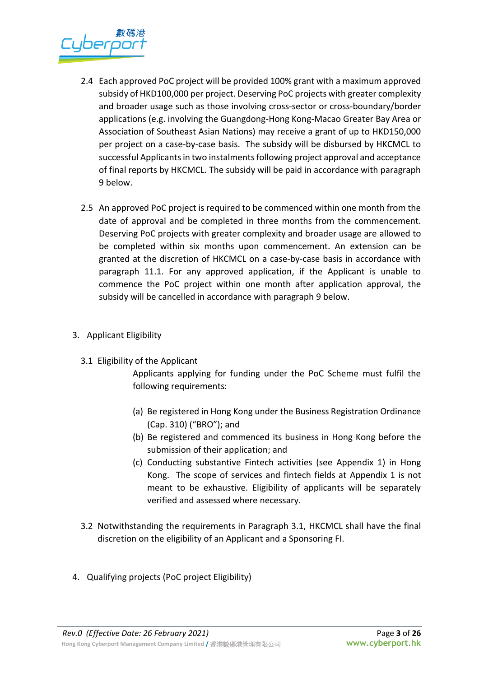

- 2.4 Each approved PoC project will be provided 100% grant with a maximum approved subsidy of HKD100,000 per project. Deserving PoC projects with greater complexity and broader usage such as those involving cross-sector or cross-boundary/border applications (e.g. involving the Guangdong-Hong Kong-Macao Greater Bay Area or Association of Southeast Asian Nations) may receive a grant of up to HKD150,000 per project on a case-by-case basis. The subsidy will be disbursed by HKCMCL to successful Applicants in two instalments following project approval and acceptance of final reports by HKCMCL. The subsidy will be paid in accordance with paragraph 9 below.
- 2.5 An approved PoC project is required to be commenced within one month from the date of approval and be completed in three months from the commencement. Deserving PoC projects with greater complexity and broader usage are allowed to be completed within six months upon commencement. An extension can be granted at the discretion of HKCMCL on a case-by-case basis in accordance with paragraph 11.1. For any approved application, if the Applicant is unable to commence the PoC project within one month after application approval, the subsidy will be cancelled in accordance with paragraph 9 below.
- 3. Applicant Eligibility
	- 3.1 Eligibility of the Applicant

Applicants applying for funding under the PoC Scheme must fulfil the following requirements:

- (a) Be registered in Hong Kong under the Business Registration Ordinance (Cap. 310) ("BRO"); and
- (b) Be registered and commenced its business in Hong Kong before the submission of their application; and
- (c) Conducting substantive Fintech activities (see Appendix 1) in Hong Kong. The scope of services and fintech fields at Appendix 1 is not meant to be exhaustive. Eligibility of applicants will be separately verified and assessed where necessary.
- 3.2 Notwithstanding the requirements in Paragraph 3.1, HKCMCL shall have the final discretion on the eligibility of an Applicant and a Sponsoring FI.
- 4. Qualifying projects (PoC project Eligibility)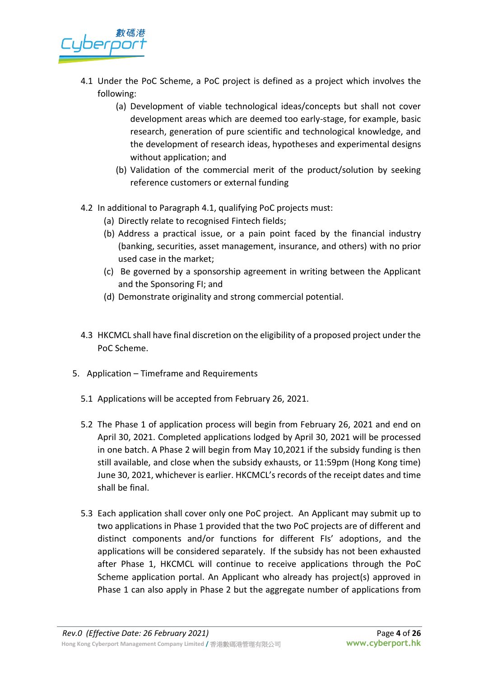

- 4.1 Under the PoC Scheme, a PoC project is defined as a project which involves the following:
	- (a) Development of viable technological ideas/concepts but shall not cover development areas which are deemed too early-stage, for example, basic research, generation of pure scientific and technological knowledge, and the development of research ideas, hypotheses and experimental designs without application; and
	- (b) Validation of the commercial merit of the product/solution by seeking reference customers or external funding
- 4.2 In additional to Paragraph 4.1, qualifying PoC projects must:
	- (a) Directly relate to recognised Fintech fields;
	- (b) Address a practical issue, or a pain point faced by the financial industry (banking, securities, asset management, insurance, and others) with no prior used case in the market;
	- (c) Be governed by a sponsorship agreement in writing between the Applicant and the Sponsoring FI; and
	- (d) Demonstrate originality and strong commercial potential.
- 4.3 HKCMCL shall have final discretion on the eligibility of a proposed project under the PoC Scheme.
- 5. Application Timeframe and Requirements
	- 5.1 Applications will be accepted from February 26, 2021.
	- 5.2 The Phase 1 of application process will begin from February 26, 2021 and end on April 30, 2021. Completed applications lodged by April 30, 2021 will be processed in one batch. A Phase 2 will begin from May 10,2021 if the subsidy funding is then still available, and close when the subsidy exhausts, or 11:59pm (Hong Kong time) June 30, 2021, whichever is earlier. HKCMCL's records of the receipt dates and time shall be final.
	- 5.3 Each application shall cover only one PoC project. An Applicant may submit up to two applications in Phase 1 provided that the two PoC projects are of different and distinct components and/or functions for different FIs' adoptions, and the applications will be considered separately. If the subsidy has not been exhausted after Phase 1, HKCMCL will continue to receive applications through the PoC Scheme application portal. An Applicant who already has project(s) approved in Phase 1 can also apply in Phase 2 but the aggregate number of applications from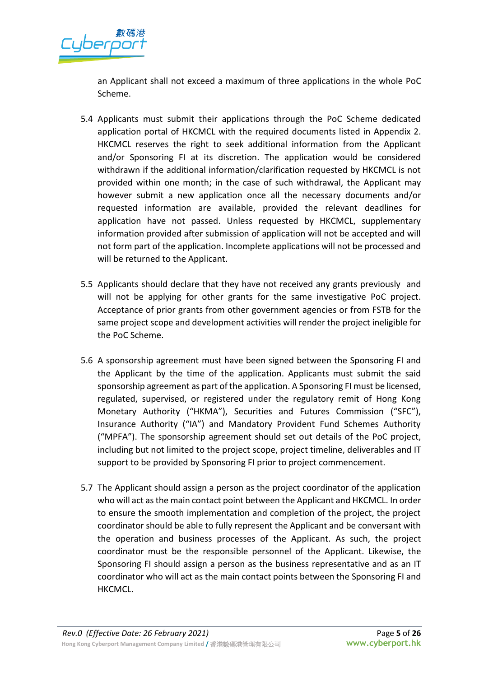

an Applicant shall not exceed a maximum of three applications in the whole PoC Scheme.

- 5.4 Applicants must submit their applications through the PoC Scheme dedicated application portal of HKCMCL with the required documents listed in Appendix 2. HKCMCL reserves the right to seek additional information from the Applicant and/or Sponsoring FI at its discretion. The application would be considered withdrawn if the additional information/clarification requested by HKCMCL is not provided within one month; in the case of such withdrawal, the Applicant may however submit a new application once all the necessary documents and/or requested information are available, provided the relevant deadlines for application have not passed. Unless requested by HKCMCL, supplementary information provided after submission of application will not be accepted and will not form part of the application. Incomplete applications will not be processed and will be returned to the Applicant.
- 5.5 Applicants should declare that they have not received any grants previously and will not be applying for other grants for the same investigative PoC project. Acceptance of prior grants from other government agencies or from FSTB for the same project scope and development activities will render the project ineligible for the PoC Scheme.
- 5.6 A sponsorship agreement must have been signed between the Sponsoring FI and the Applicant by the time of the application. Applicants must submit the said sponsorship agreement as part of the application. A Sponsoring FI must be licensed, regulated, supervised, or registered under the regulatory remit of Hong Kong Monetary Authority ("HKMA"), Securities and Futures Commission ("SFC"), Insurance Authority ("IA") and Mandatory Provident Fund Schemes Authority ("MPFA"). The sponsorship agreement should set out details of the PoC project, including but not limited to the project scope, project timeline, deliverables and IT support to be provided by Sponsoring FI prior to project commencement.
- 5.7 The Applicant should assign a person as the project coordinator of the application who will act as the main contact point between the Applicant and HKCMCL. In order to ensure the smooth implementation and completion of the project, the project coordinator should be able to fully represent the Applicant and be conversant with the operation and business processes of the Applicant. As such, the project coordinator must be the responsible personnel of the Applicant. Likewise, the Sponsoring FI should assign a person as the business representative and as an IT coordinator who will act as the main contact points between the Sponsoring FI and HKCMCL.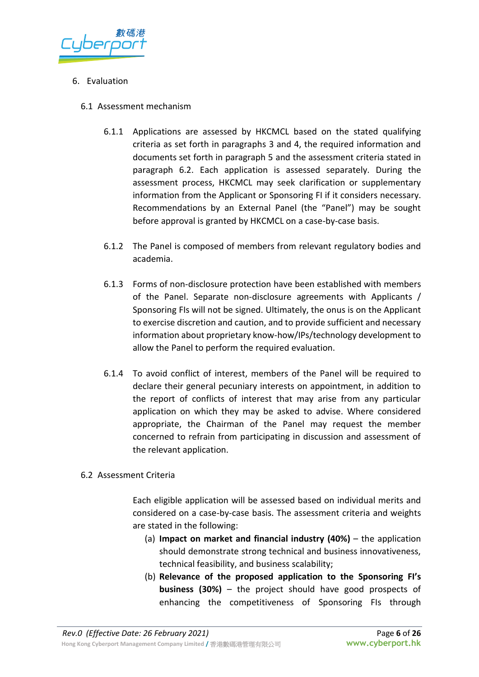

### 6. Evaluation

- 6.1 Assessment mechanism
	- 6.1.1 Applications are assessed by HKCMCL based on the stated qualifying criteria as set forth in paragraphs 3 and 4, the required information and documents set forth in paragraph 5 and the assessment criteria stated in paragraph 6.2. Each application is assessed separately. During the assessment process, HKCMCL may seek clarification or supplementary information from the Applicant or Sponsoring FI if it considers necessary. Recommendations by an External Panel (the "Panel") may be sought before approval is granted by HKCMCL on a case-by-case basis.
	- 6.1.2 The Panel is composed of members from relevant regulatory bodies and academia.
	- 6.1.3 Forms of non-disclosure protection have been established with members of the Panel. Separate non-disclosure agreements with Applicants / Sponsoring FIs will not be signed. Ultimately, the onus is on the Applicant to exercise discretion and caution, and to provide sufficient and necessary information about proprietary know-how/IPs/technology development to allow the Panel to perform the required evaluation.
	- 6.1.4 To avoid conflict of interest, members of the Panel will be required to declare their general pecuniary interests on appointment, in addition to the report of conflicts of interest that may arise from any particular application on which they may be asked to advise. Where considered appropriate, the Chairman of the Panel may request the member concerned to refrain from participating in discussion and assessment of the relevant application.

#### 6.2 Assessment Criteria

Each eligible application will be assessed based on individual merits and considered on a case-by-case basis. The assessment criteria and weights are stated in the following:

- (a) **Impact on market and financial industry (40%)** the application should demonstrate strong technical and business innovativeness, technical feasibility, and business scalability;
- (b) **Relevance of the proposed application to the Sponsoring FI's business (30%)** – the project should have good prospects of enhancing the competitiveness of Sponsoring FIs through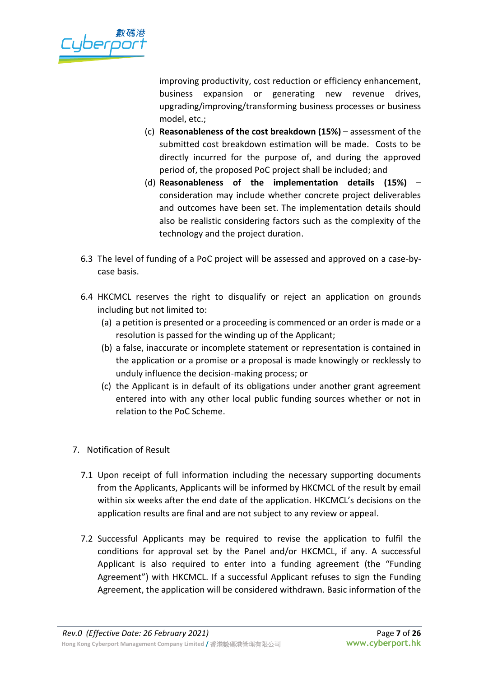

improving productivity, cost reduction or efficiency enhancement, business expansion or generating new revenue drives, upgrading/improving/transforming business processes or business model, etc.;

- (c) **Reasonableness of the cost breakdown (15%)** assessment of the submitted cost breakdown estimation will be made. Costs to be directly incurred for the purpose of, and during the approved period of, the proposed PoC project shall be included; and
- (d) **Reasonableness of the implementation details (15%)** consideration may include whether concrete project deliverables and outcomes have been set. The implementation details should also be realistic considering factors such as the complexity of the technology and the project duration.
- 6.3 The level of funding of a PoC project will be assessed and approved on a case-bycase basis.
- 6.4 HKCMCL reserves the right to disqualify or reject an application on grounds including but not limited to:
	- (a) a petition is presented or a proceeding is commenced or an order is made or a resolution is passed for the winding up of the Applicant;
	- (b) a false, inaccurate or incomplete statement or representation is contained in the application or a promise or a proposal is made knowingly or recklessly to unduly influence the decision-making process; or
	- (c) the Applicant is in default of its obligations under another grant agreement entered into with any other local public funding sources whether or not in relation to the PoC Scheme.
- 7. Notification of Result
	- 7.1 Upon receipt of full information including the necessary supporting documents from the Applicants, Applicants will be informed by HKCMCL of the result by email within six weeks after the end date of the application. HKCMCL's decisions on the application results are final and are not subject to any review or appeal.
	- 7.2 Successful Applicants may be required to revise the application to fulfil the conditions for approval set by the Panel and/or HKCMCL, if any. A successful Applicant is also required to enter into a funding agreement (the "Funding Agreement") with HKCMCL. If a successful Applicant refuses to sign the Funding Agreement, the application will be considered withdrawn. Basic information of the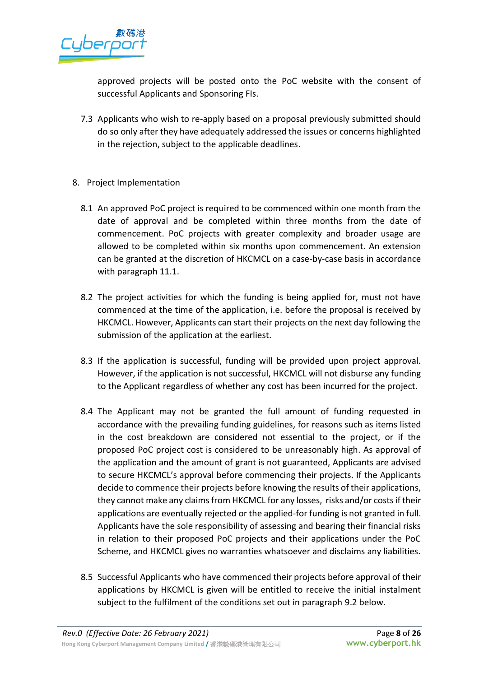

approved projects will be posted onto the PoC website with the consent of successful Applicants and Sponsoring FIs.

- 7.3 Applicants who wish to re-apply based on a proposal previously submitted should do so only after they have adequately addressed the issues or concerns highlighted in the rejection, subject to the applicable deadlines.
- 8. Project Implementation
	- 8.1 An approved PoC project is required to be commenced within one month from the date of approval and be completed within three months from the date of commencement. PoC projects with greater complexity and broader usage are allowed to be completed within six months upon commencement. An extension can be granted at the discretion of HKCMCL on a case-by-case basis in accordance with paragraph 11.1.
	- 8.2 The project activities for which the funding is being applied for, must not have commenced at the time of the application, i.e. before the proposal is received by HKCMCL. However, Applicants can start their projects on the next day following the submission of the application at the earliest.
	- 8.3 If the application is successful, funding will be provided upon project approval. However, if the application is not successful, HKCMCL will not disburse any funding to the Applicant regardless of whether any cost has been incurred for the project.
	- 8.4 The Applicant may not be granted the full amount of funding requested in accordance with the prevailing funding guidelines, for reasons such as items listed in the cost breakdown are considered not essential to the project, or if the proposed PoC project cost is considered to be unreasonably high. As approval of the application and the amount of grant is not guaranteed, Applicants are advised to secure HKCMCL's approval before commencing their projects. If the Applicants decide to commence their projects before knowing the results of their applications, they cannot make any claimsfrom HKCMCL for any losses, risks and/or costs if their applications are eventually rejected or the applied-for funding is not granted in full. Applicants have the sole responsibility of assessing and bearing their financial risks in relation to their proposed PoC projects and their applications under the PoC Scheme, and HKCMCL gives no warranties whatsoever and disclaims any liabilities.
	- 8.5 Successful Applicants who have commenced their projects before approval of their applications by HKCMCL is given will be entitled to receive the initial instalment subject to the fulfilment of the conditions set out in paragraph 9.2 below.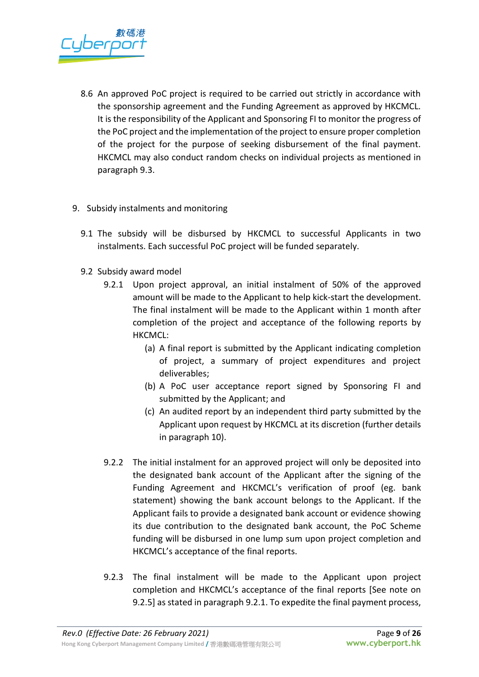

- 8.6 An approved PoC project is required to be carried out strictly in accordance with the sponsorship agreement and the Funding Agreement as approved by HKCMCL. It is the responsibility of the Applicant and Sponsoring FI to monitor the progress of the PoC project and the implementation of the project to ensure proper completion of the project for the purpose of seeking disbursement of the final payment. HKCMCL may also conduct random checks on individual projects as mentioned in paragraph 9.3.
- 9. Subsidy instalments and monitoring
	- 9.1 The subsidy will be disbursed by HKCMCL to successful Applicants in two instalments. Each successful PoC project will be funded separately.
	- 9.2 Subsidy award model
		- 9.2.1 Upon project approval, an initial instalment of 50% of the approved amount will be made to the Applicant to help kick-start the development. The final instalment will be made to the Applicant within 1 month after completion of the project and acceptance of the following reports by HKCMCL:
			- (a) A final report is submitted by the Applicant indicating completion of project, a summary of project expenditures and project deliverables;
			- (b) A PoC user acceptance report signed by Sponsoring FI and submitted by the Applicant; and
			- (c) An audited report by an independent third party submitted by the Applicant upon request by HKCMCL at its discretion (further details in paragraph 10).
		- 9.2.2 The initial instalment for an approved project will only be deposited into the designated bank account of the Applicant after the signing of the Funding Agreement and HKCMCL's verification of proof (eg. bank statement) showing the bank account belongs to the Applicant. If the Applicant fails to provide a designated bank account or evidence showing its due contribution to the designated bank account, the PoC Scheme funding will be disbursed in one lump sum upon project completion and HKCMCL's acceptance of the final reports.
		- 9.2.3 The final instalment will be made to the Applicant upon project completion and HKCMCL's acceptance of the final reports [See note on 9.2.5] as stated in paragraph 9.2.1. To expedite the final payment process,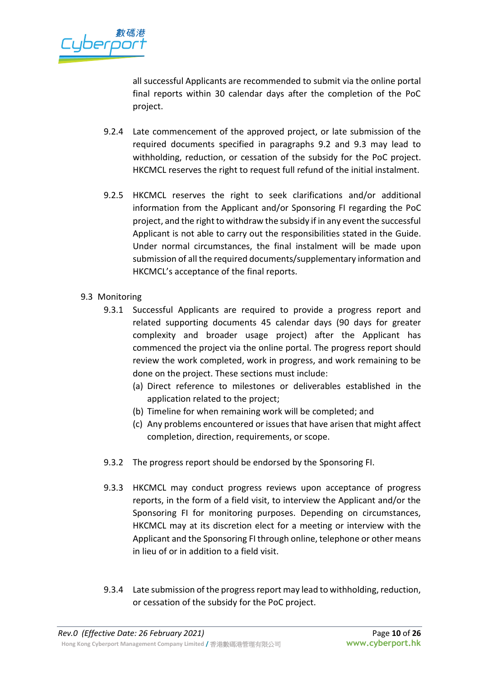

all successful Applicants are recommended to submit via the online portal final reports within 30 calendar days after the completion of the PoC project.

- 9.2.4 Late commencement of the approved project, or late submission of the required documents specified in paragraphs 9.2 and 9.3 may lead to withholding, reduction, or cessation of the subsidy for the PoC project. HKCMCL reserves the right to request full refund of the initial instalment.
- 9.2.5 HKCMCL reserves the right to seek clarifications and/or additional information from the Applicant and/or Sponsoring FI regarding the PoC project, and the right to withdraw the subsidy if in any event the successful Applicant is not able to carry out the responsibilities stated in the Guide. Under normal circumstances, the final instalment will be made upon submission of all the required documents/supplementary information and HKCMCL's acceptance of the final reports.
- 9.3 Monitoring
	- 9.3.1 Successful Applicants are required to provide a progress report and related supporting documents 45 calendar days (90 days for greater complexity and broader usage project) after the Applicant has commenced the project via the online portal. The progress report should review the work completed, work in progress, and work remaining to be done on the project. These sections must include:
		- (a) Direct reference to milestones or deliverables established in the application related to the project;
		- (b) Timeline for when remaining work will be completed; and
		- (c) Any problems encountered or issues that have arisen that might affect completion, direction, requirements, or scope.
	- 9.3.2 The progress report should be endorsed by the Sponsoring FI.
	- 9.3.3 HKCMCL may conduct progress reviews upon acceptance of progress reports, in the form of a field visit, to interview the Applicant and/or the Sponsoring FI for monitoring purposes. Depending on circumstances, HKCMCL may at its discretion elect for a meeting or interview with the Applicant and the Sponsoring FI through online, telephone or other means in lieu of or in addition to a field visit.
	- 9.3.4 Late submission of the progress report may lead to withholding, reduction, or cessation of the subsidy for the PoC project.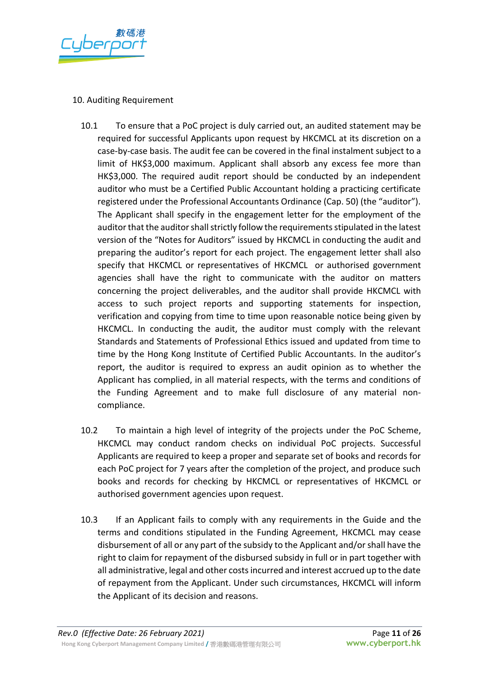

### 10. Auditing Requirement

- 10.1 To ensure that a PoC project is duly carried out, an audited statement may be required for successful Applicants upon request by HKCMCL at its discretion on a case-by-case basis. The audit fee can be covered in the final instalment subject to a limit of HK\$3,000 maximum. Applicant shall absorb any excess fee more than HK\$3,000. The required audit report should be conducted by an independent auditor who must be a Certified Public Accountant holding a practicing certificate registered under the Professional Accountants Ordinance (Cap. 50) (the "auditor"). The Applicant shall specify in the engagement letter for the employment of the auditor that the auditor shall strictly follow the requirements stipulated in the latest version of the "Notes for Auditors" issued by HKCMCL in conducting the audit and preparing the auditor's report for each project. The engagement letter shall also specify that HKCMCL or representatives of HKCMCL or authorised government agencies shall have the right to communicate with the auditor on matters concerning the project deliverables, and the auditor shall provide HKCMCL with access to such project reports and supporting statements for inspection, verification and copying from time to time upon reasonable notice being given by HKCMCL. In conducting the audit, the auditor must comply with the relevant Standards and Statements of Professional Ethics issued and updated from time to time by the Hong Kong Institute of Certified Public Accountants. In the auditor's report, the auditor is required to express an audit opinion as to whether the Applicant has complied, in all material respects, with the terms and conditions of the Funding Agreement and to make full disclosure of any material noncompliance.
- 10.2 To maintain a high level of integrity of the projects under the PoC Scheme, HKCMCL may conduct random checks on individual PoC projects. Successful Applicants are required to keep a proper and separate set of books and records for each PoC project for 7 years after the completion of the project, and produce such books and records for checking by HKCMCL or representatives of HKCMCL or authorised government agencies upon request.
- 10.3 If an Applicant fails to comply with any requirements in the Guide and the terms and conditions stipulated in the Funding Agreement, HKCMCL may cease disbursement of all or any part of the subsidy to the Applicant and/or shall have the right to claim for repayment of the disbursed subsidy in full or in part together with all administrative, legal and other costs incurred and interest accrued up to the date of repayment from the Applicant. Under such circumstances, HKCMCL will inform the Applicant of its decision and reasons.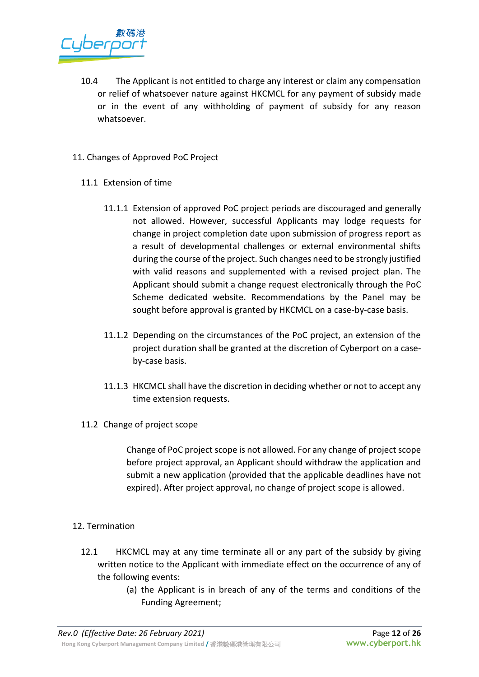- 10.4 The Applicant is not entitled to charge any interest or claim any compensation or relief of whatsoever nature against HKCMCL for any payment of subsidy made or in the event of any withholding of payment of subsidy for any reason whatsoever.
- 11. Changes of Approved PoC Project
	- 11.1 Extension of time
		- 11.1.1 Extension of approved PoC project periods are discouraged and generally not allowed. However, successful Applicants may lodge requests for change in project completion date upon submission of progress report as a result of developmental challenges or external environmental shifts during the course of the project. Such changes need to be strongly justified with valid reasons and supplemented with a revised project plan. The Applicant should submit a change request electronically through the PoC Scheme dedicated website. Recommendations by the Panel may be sought before approval is granted by HKCMCL on a case-by-case basis.
		- 11.1.2 Depending on the circumstances of the PoC project, an extension of the project duration shall be granted at the discretion of Cyberport on a caseby-case basis.
		- 11.1.3 HKCMCL shall have the discretion in deciding whether or not to accept any time extension requests.
	- 11.2 Change of project scope

Change of PoC project scope is not allowed. For any change of project scope before project approval, an Applicant should withdraw the application and submit a new application (provided that the applicable deadlines have not expired). After project approval, no change of project scope is allowed.

#### 12. Termination

- 12.1 HKCMCL may at any time terminate all or any part of the subsidy by giving written notice to the Applicant with immediate effect on the occurrence of any of the following events:
	- (a) the Applicant is in breach of any of the terms and conditions of the Funding Agreement;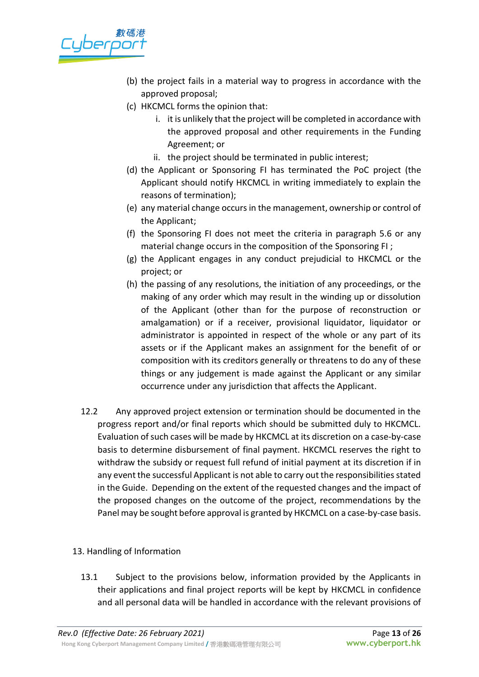

- (b) the project fails in a material way to progress in accordance with the approved proposal;
- (c) HKCMCL forms the opinion that:
	- i. it is unlikely that the project will be completed in accordance with the approved proposal and other requirements in the Funding Agreement; or
	- ii. the project should be terminated in public interest;
- (d) the Applicant or Sponsoring FI has terminated the PoC project (the Applicant should notify HKCMCL in writing immediately to explain the reasons of termination);
- (e) any material change occurs in the management, ownership or control of the Applicant;
- (f) the Sponsoring FI does not meet the criteria in paragraph 5.6 or any material change occurs in the composition of the Sponsoring FI ;
- (g) the Applicant engages in any conduct prejudicial to HKCMCL or the project; or
- (h) the passing of any resolutions, the initiation of any proceedings, or the making of any order which may result in the winding up or dissolution of the Applicant (other than for the purpose of reconstruction or amalgamation) or if a receiver, provisional liquidator, liquidator or administrator is appointed in respect of the whole or any part of its assets or if the Applicant makes an assignment for the benefit of or composition with its creditors generally or threatens to do any of these things or any judgement is made against the Applicant or any similar occurrence under any jurisdiction that affects the Applicant.
- 12.2 Any approved project extension or termination should be documented in the progress report and/or final reports which should be submitted duly to HKCMCL. Evaluation of such cases will be made by HKCMCL at its discretion on a case-by-case basis to determine disbursement of final payment. HKCMCL reserves the right to withdraw the subsidy or request full refund of initial payment at its discretion if in any event the successful Applicant is not able to carry out the responsibilities stated in the Guide. Depending on the extent of the requested changes and the impact of the proposed changes on the outcome of the project, recommendations by the Panel may be sought before approval is granted by HKCMCL on a case-by-case basis.

# 13. Handling of Information

13.1 Subject to the provisions below, information provided by the Applicants in their applications and final project reports will be kept by HKCMCL in confidence and all personal data will be handled in accordance with the relevant provisions of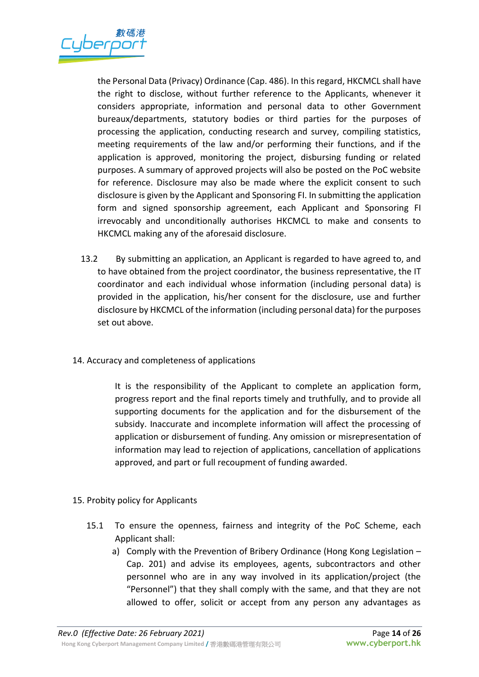

the Personal Data (Privacy) Ordinance (Cap. 486). In this regard, HKCMCL shall have the right to disclose, without further reference to the Applicants, whenever it considers appropriate, information and personal data to other Government bureaux/departments, statutory bodies or third parties for the purposes of processing the application, conducting research and survey, compiling statistics, meeting requirements of the law and/or performing their functions, and if the application is approved, monitoring the project, disbursing funding or related purposes. A summary of approved projects will also be posted on the PoC website for reference. Disclosure may also be made where the explicit consent to such disclosure is given by the Applicant and Sponsoring FI. In submitting the application form and signed sponsorship agreement, each Applicant and Sponsoring FI irrevocably and unconditionally authorises HKCMCL to make and consents to HKCMCL making any of the aforesaid disclosure.

- 13.2 By submitting an application, an Applicant is regarded to have agreed to, and to have obtained from the project coordinator, the business representative, the IT coordinator and each individual whose information (including personal data) is provided in the application, his/her consent for the disclosure, use and further disclosure by HKCMCL of the information (including personal data) for the purposes set out above.
- 14. Accuracy and completeness of applications

It is the responsibility of the Applicant to complete an application form, progress report and the final reports timely and truthfully, and to provide all supporting documents for the application and for the disbursement of the subsidy. Inaccurate and incomplete information will affect the processing of application or disbursement of funding. Any omission or misrepresentation of information may lead to rejection of applications, cancellation of applications approved, and part or full recoupment of funding awarded.

- 15. Probity policy for Applicants
	- 15.1 To ensure the openness, fairness and integrity of the PoC Scheme, each Applicant shall:
		- a) Comply with the Prevention of Bribery Ordinance (Hong Kong Legislation Cap. 201) and advise its employees, agents, subcontractors and other personnel who are in any way involved in its application/project (the "Personnel") that they shall comply with the same, and that they are not allowed to offer, solicit or accept from any person any advantages as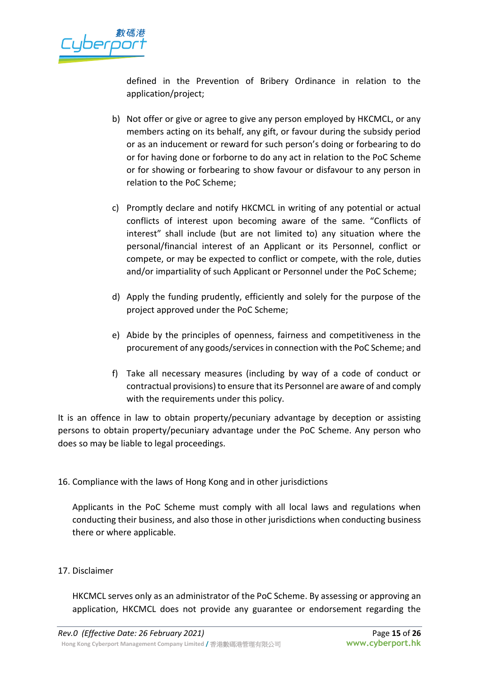

defined in the Prevention of Bribery Ordinance in relation to the application/project;

- b) Not offer or give or agree to give any person employed by HKCMCL, or any members acting on its behalf, any gift, or favour during the subsidy period or as an inducement or reward for such person's doing or forbearing to do or for having done or forborne to do any act in relation to the PoC Scheme or for showing or forbearing to show favour or disfavour to any person in relation to the PoC Scheme;
- c) Promptly declare and notify HKCMCL in writing of any potential or actual conflicts of interest upon becoming aware of the same. "Conflicts of interest" shall include (but are not limited to) any situation where the personal/financial interest of an Applicant or its Personnel, conflict or compete, or may be expected to conflict or compete, with the role, duties and/or impartiality of such Applicant or Personnel under the PoC Scheme;
- d) Apply the funding prudently, efficiently and solely for the purpose of the project approved under the PoC Scheme;
- e) Abide by the principles of openness, fairness and competitiveness in the procurement of any goods/services in connection with the PoC Scheme; and
- f) Take all necessary measures (including by way of a code of conduct or contractual provisions) to ensure that its Personnel are aware of and comply with the requirements under this policy.

It is an offence in law to obtain property/pecuniary advantage by deception or assisting persons to obtain property/pecuniary advantage under the PoC Scheme. Any person who does so may be liable to legal proceedings.

# 16. Compliance with the laws of Hong Kong and in other jurisdictions

Applicants in the PoC Scheme must comply with all local laws and regulations when conducting their business, and also those in other jurisdictions when conducting business there or where applicable.

# 17. Disclaimer

HKCMCL serves only as an administrator of the PoC Scheme. By assessing or approving an application, HKCMCL does not provide any guarantee or endorsement regarding the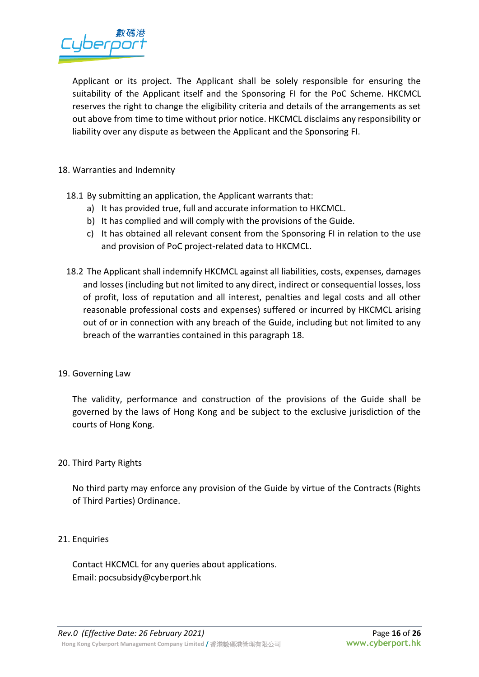

Applicant or its project. The Applicant shall be solely responsible for ensuring the suitability of the Applicant itself and the Sponsoring FI for the PoC Scheme. HKCMCL reserves the right to change the eligibility criteria and details of the arrangements as set out above from time to time without prior notice. HKCMCL disclaims any responsibility or liability over any dispute as between the Applicant and the Sponsoring FI.

### 18. Warranties and Indemnity

- 18.1 By submitting an application, the Applicant warrants that:
	- a) It has provided true, full and accurate information to HKCMCL.
	- b) It has complied and will comply with the provisions of the Guide.
	- c) It has obtained all relevant consent from the Sponsoring FI in relation to the use and provision of PoC project-related data to HKCMCL.
- 18.2 The Applicant shall indemnify HKCMCL against all liabilities, costs, expenses, damages and losses (including but not limited to any direct, indirect or consequential losses, loss of profit, loss of reputation and all interest, penalties and legal costs and all other reasonable professional costs and expenses) suffered or incurred by HKCMCL arising out of or in connection with any breach of the Guide, including but not limited to any breach of the warranties contained in this paragraph 18.

#### 19. Governing Law

The validity, performance and construction of the provisions of the Guide shall be governed by the laws of Hong Kong and be subject to the exclusive jurisdiction of the courts of Hong Kong.

#### 20. Third Party Rights

No third party may enforce any provision of the Guide by virtue of the Contracts (Rights of Third Parties) Ordinance.

#### 21. Enquiries

Contact HKCMCL for any queries about applications. Email: pocsubsidy@cyberport.hk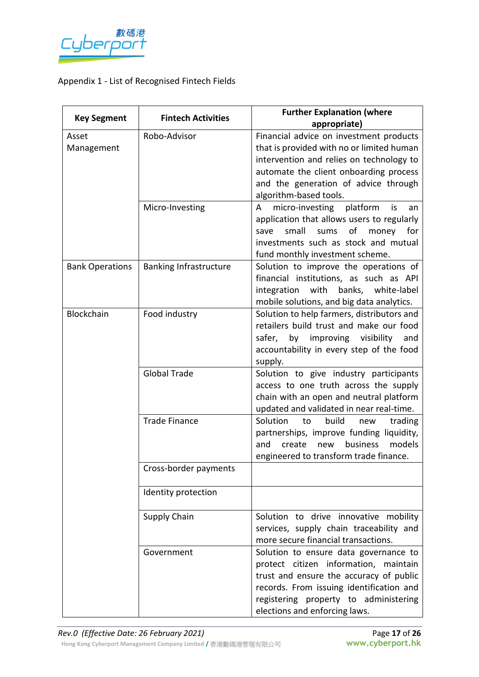

# Appendix 1 - List of Recognised Fintech Fields

| <b>Key Segment</b>     | <b>Fintech Activities</b>     | <b>Further Explanation (where</b>                                                   |
|------------------------|-------------------------------|-------------------------------------------------------------------------------------|
|                        |                               | appropriate)                                                                        |
| Asset                  | Robo-Advisor                  | Financial advice on investment products                                             |
| Management             |                               | that is provided with no or limited human                                           |
|                        |                               | intervention and relies on technology to                                            |
|                        |                               | automate the client onboarding process                                              |
|                        |                               | and the generation of advice through                                                |
|                        |                               | algorithm-based tools.                                                              |
|                        | Micro-Investing               | micro-investing<br>platform<br>is<br>A<br>an                                        |
|                        |                               | application that allows users to regularly                                          |
|                        |                               | of<br>small<br>sums<br>money<br>for<br>save<br>investments such as stock and mutual |
|                        |                               |                                                                                     |
|                        |                               | fund monthly investment scheme.<br>Solution to improve the operations of            |
| <b>Bank Operations</b> | <b>Banking Infrastructure</b> | financial institutions, as such as API                                              |
|                        |                               | integration<br>with<br>banks, white-label                                           |
|                        |                               | mobile solutions, and big data analytics.                                           |
| <b>Blockchain</b>      | Food industry                 | Solution to help farmers, distributors and                                          |
|                        |                               | retailers build trust and make our food                                             |
|                        |                               | by improving visibility<br>safer,<br>and                                            |
|                        |                               | accountability in every step of the food                                            |
|                        |                               | supply.                                                                             |
|                        | <b>Global Trade</b>           | Solution to give industry participants                                              |
|                        |                               | access to one truth across the supply                                               |
|                        |                               | chain with an open and neutral platform                                             |
|                        |                               | updated and validated in near real-time.                                            |
|                        | <b>Trade Finance</b>          | Solution<br>build<br>to<br>trading<br>new                                           |
|                        |                               | partnerships, improve funding liquidity,                                            |
|                        |                               | business<br>models<br>create<br>new<br>and                                          |
|                        |                               | engineered to transform trade finance.                                              |
|                        | Cross-border payments         |                                                                                     |
|                        | Identity protection           |                                                                                     |
|                        | Supply Chain                  | Solution to drive innovative mobility                                               |
|                        |                               | services, supply chain traceability and                                             |
|                        |                               | more secure financial transactions.                                                 |
|                        | Government                    | Solution to ensure data governance to                                               |
|                        |                               | protect citizen information, maintain                                               |
|                        |                               | trust and ensure the accuracy of public<br>records. From issuing identification and |
|                        |                               | registering property to administering                                               |
|                        |                               | elections and enforcing laws.                                                       |
|                        |                               |                                                                                     |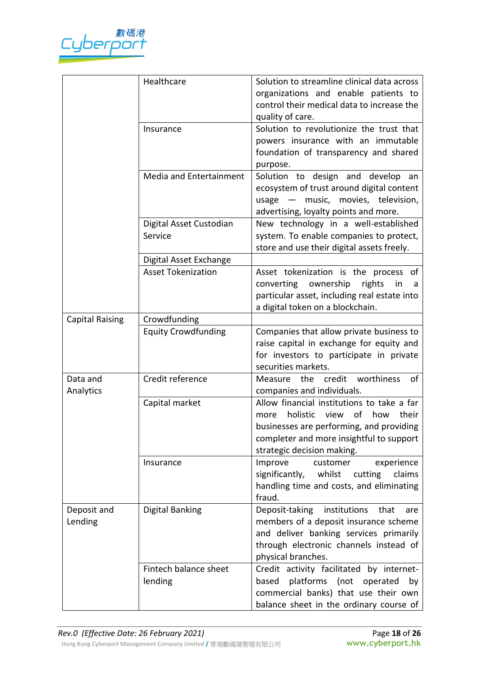

|                        | Healthcare                         | Solution to streamline clinical data across<br>organizations and enable patients to<br>control their medical data to increase the<br>quality of care.                                                     |
|------------------------|------------------------------------|-----------------------------------------------------------------------------------------------------------------------------------------------------------------------------------------------------------|
|                        | Insurance                          | Solution to revolutionize the trust that<br>powers insurance with an immutable<br>foundation of transparency and shared<br>purpose.                                                                       |
|                        | Media and Entertainment            | Solution to design and develop an<br>ecosystem of trust around digital content<br>music, movies, television,<br>usage<br>$\overline{\phantom{m}}$<br>advertising, loyalty points and more.                |
|                        | Digital Asset Custodian<br>Service | New technology in a well-established<br>system. To enable companies to protect,<br>store and use their digital assets freely.                                                                             |
|                        | Digital Asset Exchange             |                                                                                                                                                                                                           |
|                        | <b>Asset Tokenization</b>          | Asset tokenization is the process of<br>ownership<br>rights<br>converting<br>in<br>a<br>particular asset, including real estate into<br>a digital token on a blockchain.                                  |
| <b>Capital Raising</b> | Crowdfunding                       |                                                                                                                                                                                                           |
|                        | <b>Equity Crowdfunding</b>         | Companies that allow private business to<br>raise capital in exchange for equity and<br>for investors to participate in private<br>securities markets.                                                    |
| Data and<br>Analytics  | Credit reference                   | credit worthiness<br>Measure the<br>οf<br>companies and individuals.                                                                                                                                      |
|                        | Capital market                     | Allow financial institutions to take a far<br>holistic view of how<br>their<br>more<br>businesses are performing, and providing<br>completer and more insightful to support<br>strategic decision making. |
|                        | Insurance                          | experience<br>Improve<br>customer<br>significantly,<br>whilst<br>cutting<br>claims<br>handling time and costs, and eliminating<br>fraud.                                                                  |
| Deposit and<br>Lending | Digital Banking                    | Deposit-taking<br>institutions<br>that<br>are<br>members of a deposit insurance scheme<br>and deliver banking services primarily<br>through electronic channels instead of<br>physical branches.          |
|                        | Fintech balance sheet<br>lending   | Credit activity facilitated by internet-<br>platforms (not operated<br>based<br>by<br>commercial banks) that use their own<br>balance sheet in the ordinary course of                                     |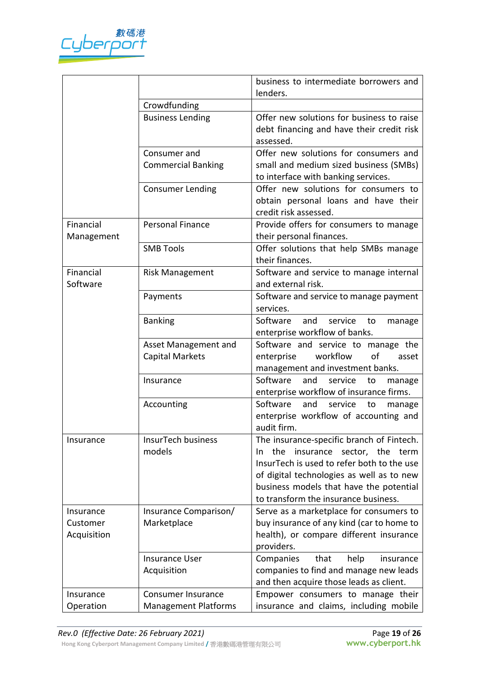

|             |                             | business to intermediate borrowers and                         |
|-------------|-----------------------------|----------------------------------------------------------------|
|             |                             | lenders.                                                       |
|             | Crowdfunding                |                                                                |
|             | <b>Business Lending</b>     | Offer new solutions for business to raise                      |
|             |                             | debt financing and have their credit risk                      |
|             |                             | assessed.                                                      |
|             | Consumer and                | Offer new solutions for consumers and                          |
|             | <b>Commercial Banking</b>   | small and medium sized business (SMBs)                         |
|             |                             | to interface with banking services.                            |
|             | <b>Consumer Lending</b>     | Offer new solutions for consumers to                           |
|             |                             | obtain personal loans and have their                           |
|             |                             | credit risk assessed.                                          |
| Financial   | <b>Personal Finance</b>     | Provide offers for consumers to manage                         |
| Management  |                             | their personal finances.                                       |
|             | <b>SMB Tools</b>            | Offer solutions that help SMBs manage                          |
|             |                             | their finances.                                                |
| Financial   | <b>Risk Management</b>      | Software and service to manage internal                        |
| Software    |                             | and external risk.                                             |
|             | Payments                    | Software and service to manage payment                         |
|             |                             | services.                                                      |
|             | <b>Banking</b>              | Software<br>and<br>service<br>manage<br>to                     |
|             |                             | enterprise workflow of banks.                                  |
|             | Asset Management and        | Software and service to manage the                             |
|             | <b>Capital Markets</b>      | workflow<br>of<br>enterprise<br>asset                          |
|             |                             | management and investment banks.<br>Software<br>and<br>service |
|             | Insurance                   | to<br>manage<br>enterprise workflow of insurance firms.        |
|             | Accounting                  | Software<br>and<br>service<br>to<br>manage                     |
|             |                             | enterprise workflow of accounting and                          |
|             |                             | audit firm.                                                    |
| Insurance   | <b>InsurTech business</b>   | The insurance-specific branch of Fintech.                      |
|             | models                      | the insurance sector, the term<br>In.                          |
|             |                             | InsurTech is used to refer both to the use                     |
|             |                             | of digital technologies as well as to new                      |
|             |                             | business models that have the potential                        |
|             |                             | to transform the insurance business.                           |
| Insurance   | Insurance Comparison/       | Serve as a marketplace for consumers to                        |
| Customer    | Marketplace                 | buy insurance of any kind (car to home to                      |
| Acquisition |                             | health), or compare different insurance                        |
|             |                             | providers.                                                     |
|             | <b>Insurance User</b>       | Companies<br>that<br>insurance<br>help                         |
|             | Acquisition                 | companies to find and manage new leads                         |
|             |                             | and then acquire those leads as client.                        |
| Insurance   | Consumer Insurance          | Empower consumers to manage their                              |
| Operation   | <b>Management Platforms</b> | insurance and claims, including mobile                         |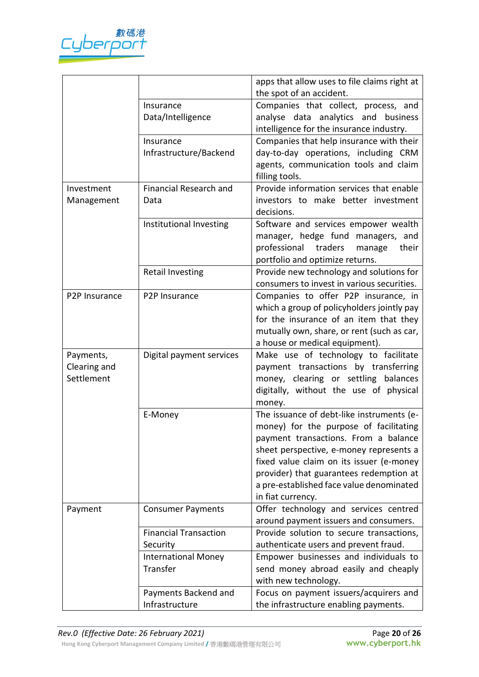

|               |                               | apps that allow uses to file claims right at |
|---------------|-------------------------------|----------------------------------------------|
|               |                               | the spot of an accident.                     |
|               | Insurance                     | Companies that collect, process, and         |
|               | Data/Intelligence             | analyse data analytics and business          |
|               |                               | intelligence for the insurance industry.     |
|               | Insurance                     | Companies that help insurance with their     |
|               | Infrastructure/Backend        | day-to-day operations, including CRM         |
|               |                               | agents, communication tools and claim        |
|               |                               | filling tools.                               |
| Investment    | <b>Financial Research and</b> | Provide information services that enable     |
| Management    | Data                          | investors to make better investment          |
|               |                               | decisions.                                   |
|               | Institutional Investing       | Software and services empower wealth         |
|               |                               | manager, hedge fund managers, and            |
|               |                               | professional<br>traders<br>their<br>manage   |
|               |                               | portfolio and optimize returns.              |
|               | <b>Retail Investing</b>       | Provide new technology and solutions for     |
|               |                               | consumers to invest in various securities.   |
| P2P Insurance | P <sub>2</sub> P Insurance    | Companies to offer P2P insurance, in         |
|               |                               | which a group of policyholders jointly pay   |
|               |                               | for the insurance of an item that they       |
|               |                               |                                              |
|               |                               | mutually own, share, or rent (such as car,   |
|               |                               | a house or medical equipment).               |
| Payments,     | Digital payment services      | Make use of technology to facilitate         |
| Clearing and  |                               | payment transactions by transferring         |
| Settlement    |                               | money, clearing or settling balances         |
|               |                               | digitally, without the use of physical       |
|               |                               | money.                                       |
|               | E-Money                       | The issuance of debt-like instruments (e-    |
|               |                               | money) for the purpose of facilitating       |
|               |                               | payment transactions. From a balance         |
|               |                               | sheet perspective, e-money represents a      |
|               |                               | fixed value claim on its issuer (e-money     |
|               |                               | provider) that guarantees redemption at      |
|               |                               | a pre-established face value denominated     |
|               |                               | in fiat currency.                            |
| Payment       | <b>Consumer Payments</b>      | Offer technology and services centred        |
|               |                               | around payment issuers and consumers.        |
|               | <b>Financial Transaction</b>  | Provide solution to secure transactions,     |
|               | Security                      | authenticate users and prevent fraud.        |
|               | <b>International Money</b>    | Empower businesses and individuals to        |
|               | Transfer                      | send money abroad easily and cheaply         |
|               |                               | with new technology.                         |
|               | Payments Backend and          | Focus on payment issuers/acquirers and       |
|               | Infrastructure                | the infrastructure enabling payments.        |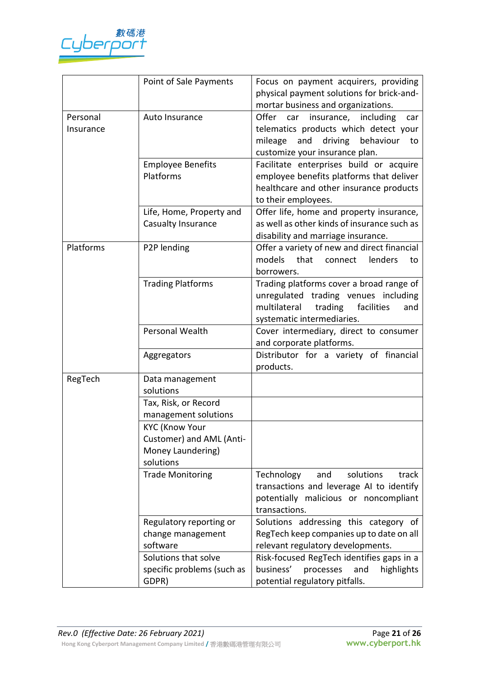

|                       | Point of Sale Payments                                                              | Focus on payment acquirers, providing<br>physical payment solutions for brick-and-<br>mortar business and organizations.                                               |
|-----------------------|-------------------------------------------------------------------------------------|------------------------------------------------------------------------------------------------------------------------------------------------------------------------|
| Personal<br>Insurance | Auto Insurance                                                                      | Offer<br>insurance, including<br>car<br>car<br>telematics products which detect your<br>behaviour<br>mileage<br>driving<br>and<br>to<br>customize your insurance plan. |
|                       | <b>Employee Benefits</b><br>Platforms                                               | Facilitate enterprises build or acquire<br>employee benefits platforms that deliver<br>healthcare and other insurance products<br>to their employees.                  |
|                       | Life, Home, Property and<br>Casualty Insurance                                      | Offer life, home and property insurance,<br>as well as other kinds of insurance such as<br>disability and marriage insurance.                                          |
| Platforms             | P2P lending                                                                         | Offer a variety of new and direct financial<br>models<br>that<br>lenders<br>connect<br>to<br>borrowers.                                                                |
|                       | <b>Trading Platforms</b>                                                            | Trading platforms cover a broad range of<br>unregulated trading venues including<br>multilateral<br>facilities<br>trading<br>and<br>systematic intermediaries.         |
|                       | Personal Wealth                                                                     | Cover intermediary, direct to consumer<br>and corporate platforms.                                                                                                     |
|                       | Aggregators                                                                         | Distributor for a variety of financial<br>products.                                                                                                                    |
| RegTech               | Data management<br>solutions                                                        |                                                                                                                                                                        |
|                       | Tax, Risk, or Record<br>management solutions                                        |                                                                                                                                                                        |
|                       | <b>KYC (Know Your</b><br>Customer) and AML (Anti-<br>Money Laundering)<br>solutions |                                                                                                                                                                        |
|                       | <b>Trade Monitoring</b>                                                             | Technology<br>and<br>solutions<br>track<br>transactions and leverage AI to identify<br>potentially malicious or noncompliant<br>transactions.                          |
|                       | Regulatory reporting or<br>change management<br>software                            | Solutions addressing this category of<br>RegTech keep companies up to date on all<br>relevant regulatory developments.                                                 |
|                       | Solutions that solve<br>specific problems (such as<br>GDPR)                         | Risk-focused RegTech identifies gaps in a<br>business'<br>and<br>processes<br>highlights<br>potential regulatory pitfalls.                                             |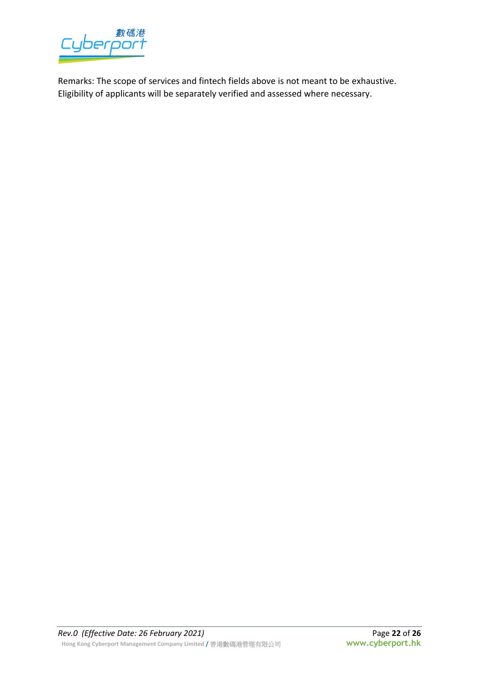

Remarks: The scope of services and fintech fields above is not meant to be exhaustive. Eligibility of applicants will be separately verified and assessed where necessary.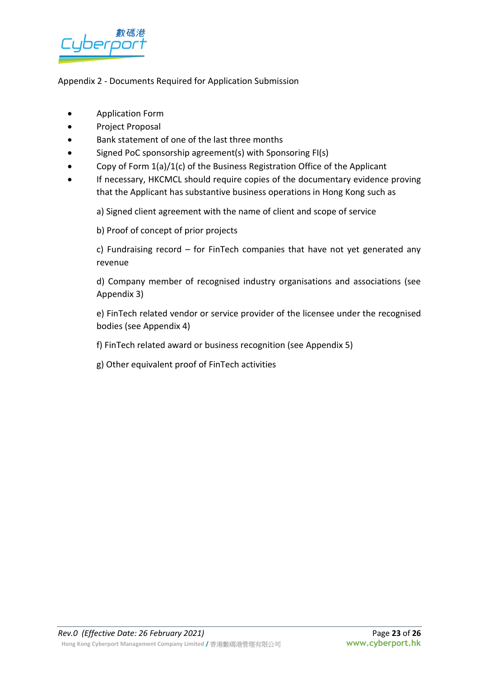

# Appendix 2 - Documents Required for Application Submission

- Application Form
- Project Proposal
- Bank statement of one of the last three months
- Signed PoC sponsorship agreement(s) with Sponsoring FI(s)
- Copy of Form 1(a)/1(c) of the Business Registration Office of the Applicant
- If necessary, HKCMCL should require copies of the documentary evidence proving that the Applicant has substantive business operations in Hong Kong such as

a) Signed client agreement with the name of client and scope of service

b) Proof of concept of prior projects

c) Fundraising record – for FinTech companies that have not yet generated any revenue

d) Company member of recognised industry organisations and associations (see Appendix 3)

e) FinTech related vendor or service provider of the licensee under the recognised bodies (see Appendix 4)

f) FinTech related award or business recognition (see Appendix 5)

g) Other equivalent proof of FinTech activities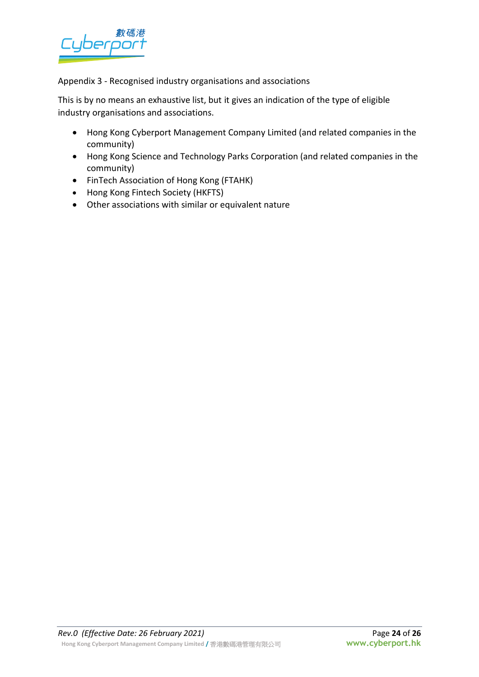

Appendix 3 - Recognised industry organisations and associations

This is by no means an exhaustive list, but it gives an indication of the type of eligible industry organisations and associations.

- Hong Kong Cyberport Management Company Limited (and related companies in the community)
- Hong Kong Science and Technology Parks Corporation (and related companies in the community)
- FinTech Association of Hong Kong (FTAHK)
- Hong Kong Fintech Society (HKFTS)
- Other associations with similar or equivalent nature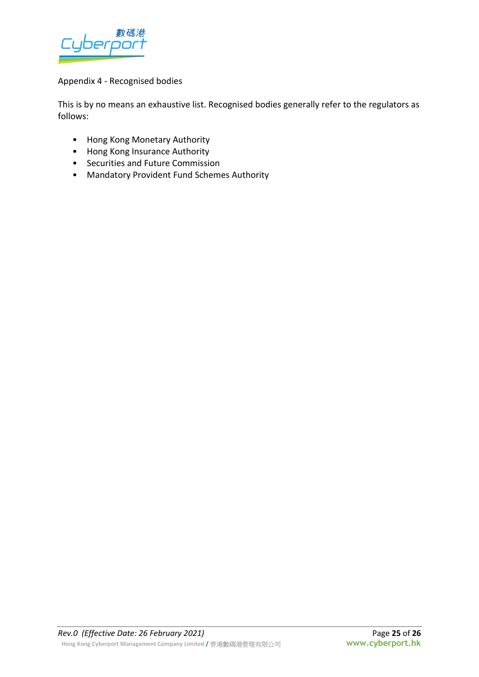

# Appendix 4 - Recognised bodies

This is by no means an exhaustive list. Recognised bodies generally refer to the regulators as follows:

- Hong Kong Monetary Authority
- Hong Kong Insurance Authority
- Securities and Future Commission
- Mandatory Provident Fund Schemes Authority